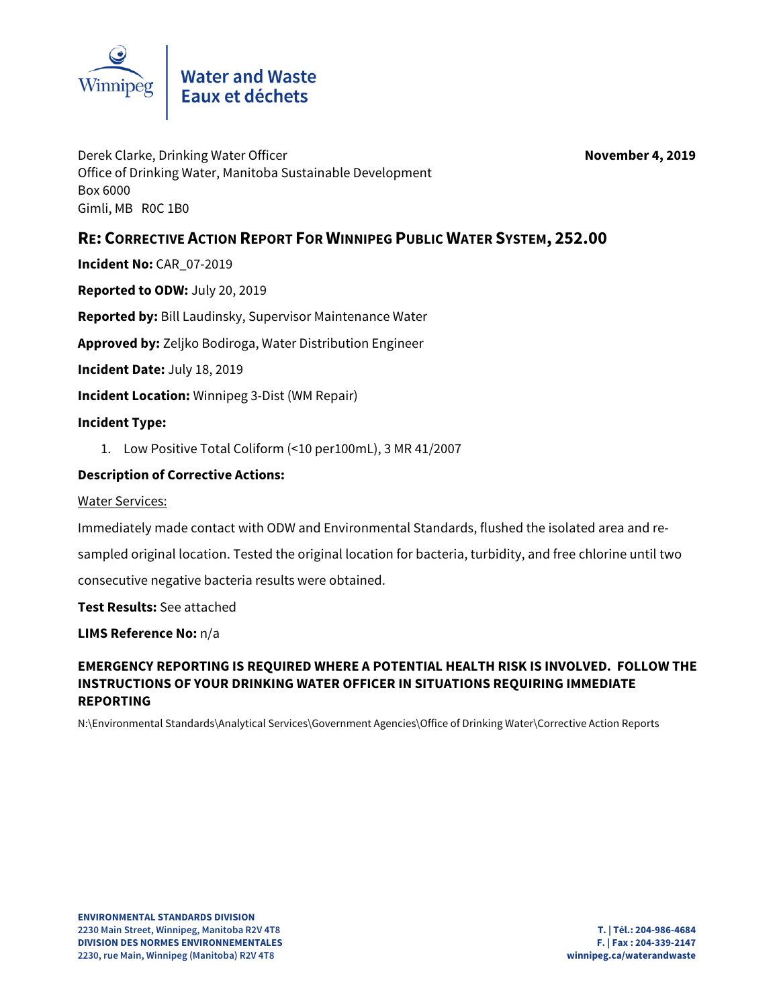

Derek Clarke, Drinking Water Officer **November 4, 2019** Office of Drinking Water, Manitoba Sustainable Development Box 6000 Gimli, MB R0C 1B0

## **RE: CORRECTIVE ACTION REPORT FOR WINNIPEG PUBLIC WATER SYSTEM, 252.00**

**Incident No:** CAR\_07-2019

**Reported to ODW:** July 20, 2019

**Reported by:** Bill Laudinsky, Supervisor Maintenance Water

**Approved by:** Zeljko Bodiroga, Water Distribution Engineer

**Incident Date:** July 18, 2019

**Incident Location:** Winnipeg 3-Dist (WM Repair)

#### **Incident Type:**

1. Low Positive Total Coliform (<10 per100mL), 3 MR 41/2007

### **Description of Corrective Actions:**

Water Services:

Immediately made contact with ODW and Environmental Standards, flushed the isolated area and re-

sampled original location. Tested the original location for bacteria, turbidity, and free chlorine until two

consecutive negative bacteria results were obtained.

**Test Results:** See attached

**LIMS Reference No:** n/a

### **EMERGENCY REPORTING IS REQUIRED WHERE A POTENTIAL HEALTH RISK IS INVOLVED. FOLLOW THE INSTRUCTIONS OF YOUR DRINKING WATER OFFICER IN SITUATIONS REQUIRING IMMEDIATE REPORTING**

N:\Environmental Standards\Analytical Services\Government Agencies\Office of Drinking Water\Corrective Action Reports